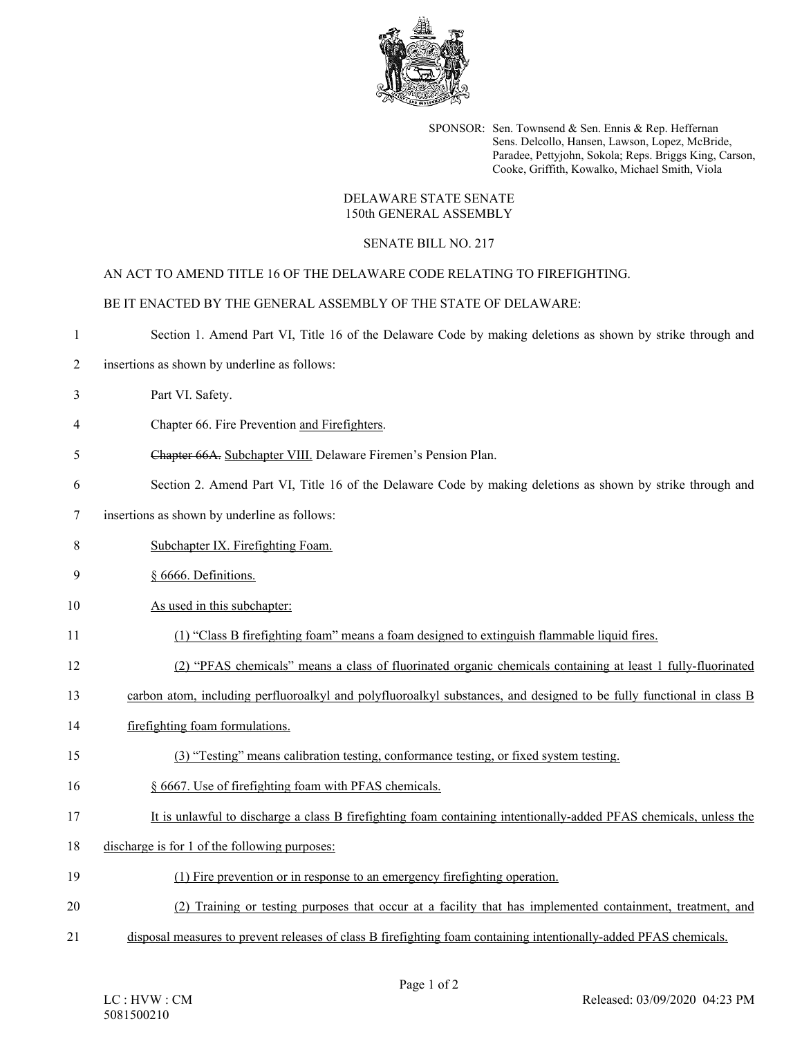

SPONSOR: Sen. Townsend & Sen. Ennis & Rep. Heffernan Sens. Delcollo, Hansen, Lawson, Lopez, McBride, Paradee, Pettyjohn, Sokola; Reps. Briggs King, Carson, Cooke, Griffith, Kowalko, Michael Smith, Viola

## DELAWARE STATE SENATE 150th GENERAL ASSEMBLY

## SENATE BILL NO. 217

AN ACT TO AMEND TITLE 16 OF THE DELAWARE CODE RELATING TO FIREFIGHTING.

BE IT ENACTED BY THE GENERAL ASSEMBLY OF THE STATE OF DELAWARE:

| $\mathbf{1}$ | Section 1. Amend Part VI, Title 16 of the Delaware Code by making deletions as shown by strike through and           |
|--------------|----------------------------------------------------------------------------------------------------------------------|
| 2            | insertions as shown by underline as follows:                                                                         |
| 3            | Part VI. Safety.                                                                                                     |
| 4            | Chapter 66. Fire Prevention and Firefighters.                                                                        |
| 5            | Chapter 66A. Subchapter VIII. Delaware Firemen's Pension Plan.                                                       |
| 6            | Section 2. Amend Part VI, Title 16 of the Delaware Code by making deletions as shown by strike through and           |
| 7            | insertions as shown by underline as follows:                                                                         |
| 8            | Subchapter IX. Firefighting Foam.                                                                                    |
| 9            | § 6666. Definitions.                                                                                                 |
| 10           | As used in this subchapter:                                                                                          |
| 11           | (1) "Class B firefighting foam" means a foam designed to extinguish flammable liquid fires.                          |
| 12           | (2) "PFAS chemicals" means a class of fluorinated organic chemicals containing at least 1 fully-fluorinated          |
| 13           | carbon atom, including perfluoroalkyl and polyfluoroalkyl substances, and designed to be fully functional in class B |
| 14           | firefighting foam formulations.                                                                                      |
| 15           | (3) "Testing" means calibration testing, conformance testing, or fixed system testing.                               |
| 16           | § 6667. Use of firefighting foam with PFAS chemicals.                                                                |
| 17           | It is unlawful to discharge a class B firefighting foam containing intentionally-added PFAS chemicals, unless the    |
| 18           | discharge is for 1 of the following purposes:                                                                        |
| 19           | (1) Fire prevention or in response to an emergency firefighting operation.                                           |
| 20           | (2) Training or testing purposes that occur at a facility that has implemented containment, treatment, and           |
| 21           | disposal measures to prevent releases of class B firefighting foam containing intentionally-added PFAS chemicals.    |
|              |                                                                                                                      |